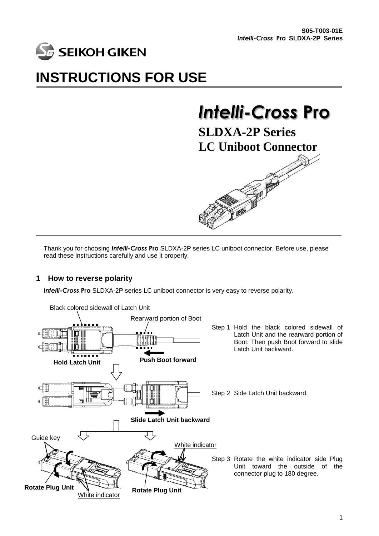

## **INSTRUCTIONS FOR USE**

# *Intelli-Cross* **Pro**

**SLDXA-2P Series LC Uniboot Connector**



Thank you for choosing *Intelli-Cross* **Pro** SLDXA-2P series LC uniboot connector. Before use, please read these instructions carefully and use it properly.

### **1 How to reverse polarity**

*Intelli-Cross* **Pro** SLDXA-2P series LC uniboot connector is very easy to reverse polarity.

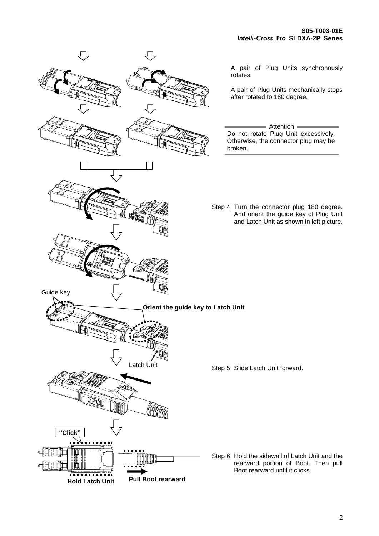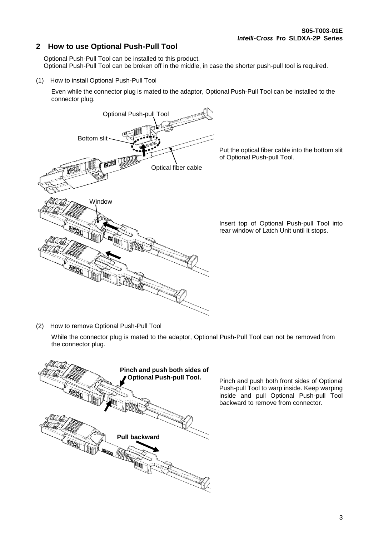### **2 How to use Optional Push-Pull Tool**

Optional Push-Pull Tool can be installed to this product. Optional Push-Pull Tool can be broken off in the middle, in case the shorter push-pull tool is required.

(1) How to install Optional Push-Pull Tool

Even while the connector plug is mated to the adaptor, Optional Push-Pull Tool can be installed to the connector plug.



(2) How to remove Optional Push-Pull Tool

While the connector plug is mated to the adaptor, Optional Push-Pull Tool can not be removed from the connector plug.



Pinch and push both front sides of Optional Push-pull Tool to warp inside. Keep warping inside and pull Optional Push-pull Tool backward to remove from connector.